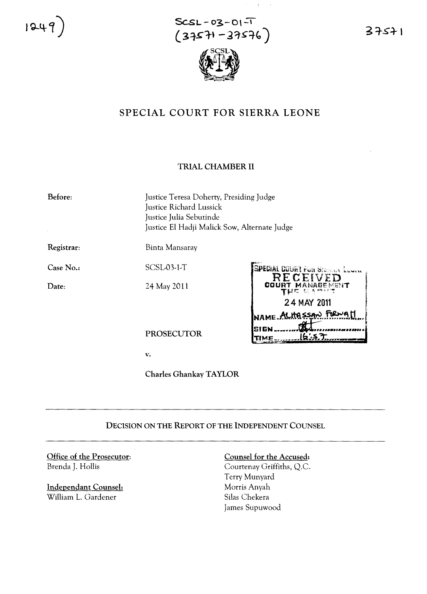1249

 $SCSL - 03 - 01 - T$  $(37571 - 37576)$ 

 $\pm$ 



# SPECIAL COURT FOR SIERRA LEONE

## TRIAL CHAMBER II

Before: Justice Teresa Doherty, Presiding Judge Justice Richard Lussick Justice Julia Sebutinde Justice £1 Hadji Malick Sow, Alternate Judge Registrar: Binta Mansaray SCSL-03-1-T Case No.: Special de int run Ste P ID Date: 24 May 2011 **24 MAY <sup>2011</sup>** NAME ALHASSAN FORWALL **SIGN** \_\_\_\_\_\_\_\_@A\_\_\_\_\_\_\_\_\_\_\_\_\_\_\_\_\_\_ PROSECUTOR **'tIME** Jb.~~;~•.,..,.,.\_\_ *\_ r\_'"* ,,'~'

v.

Charles Ghankay TAYLOR

# DECISION ON THE REPORT OF THE INDEPENDENT COUNSEL

Office of the Prosecutor: Brenda J. Hollis

lndependant Counsel: William L. Gardener

## Counsel for the Accused:

Courtenay Griffiths, Q.c. Terry Munyard Morris Anyah Silas Chekera James Supuwood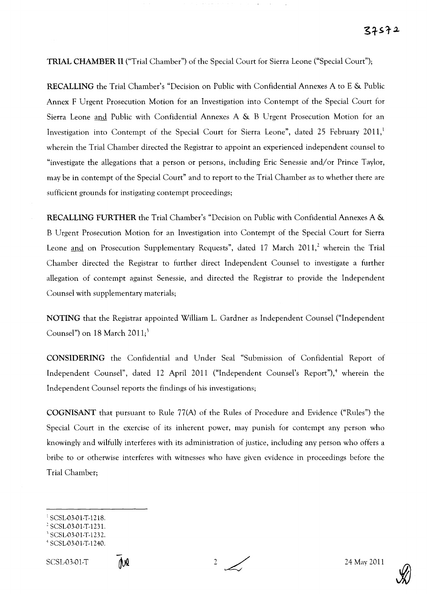# **TRIAL CHAMBER II** ("Trial Chamber") of the Special Court for Sierra Leone ("Special Court");

**RECALLING** the Trial Chamber's "Decision on Public with Confidential Annexes A to E & Public Annex F Urgent Prosecution Motion for an Investigation into Contempt of the Special Court for Sierra Leone and Public with Confidential Annexes A & B Urgent Prosecution Motion for an Investigation into Contempt of the Special Court for Sierra Leone", dated 25 February 2011,<sup>1</sup> wherein the Trial Chamber directed the Registrar to appoint an experienced independent counsel to "investigate the allegations that a person or persons, including Eric Senessie and/or Prince Taylor, may be in contempt of the Special Court" and to report to the Trial Chamber as to whether there are sufficient grounds for instigating contempt proceedings;

**RECALLING FURTHER** the Trial Chamber's "Decision on Public with Confidential Annexes A & B Urgent Prosecution Motion for an Investigation into Contempt of the Special Court for Sierra Leone and on Prosecution Supplementary Requests", dated  $17$  March  $2011$ , wherein the Trial Chamber directed the Registrar to further direct Independent Counsel to investigate a further allegation of contempt against Senessie, and directed the Registrar to provide the Independent Counsel with supplementary materials;

**NOTING** that the Registrar appointed William L. Gardner as Independent Counsel ("Independent Counsel") on 18 March 2011;'

**CONSIDERING** the Confidential and Under Seal "Submission of Confidential Report of Independent Counsel", dated 12 April 2011 ("Independent Counsel's Report"),<sup>4</sup> wherein the Independent Counsel reports the findings of his investigations;

**COGNISANT** that pursuant to Rule 77(A) of the Rules of Procedure and Evidence ("Rules") the Special Court in the exercise of its inherent power, may punish for contempt any person who knowingly and wilfully interferes with its administration of justice, including any person who offers a bribe to or otherwise interferes with witnesses who have given evidence in proceedings before the Trial Chamber;





<sup>1</sup> SCSL-03-01-T-1218.

<sup>2</sup> SCSL-03-01-T-1231.

SCSL-03-01-T-1232.

<sup>4</sup> SCSL-03-O I-T-l240. SCSL-03-01-T 2/ 24 May 2011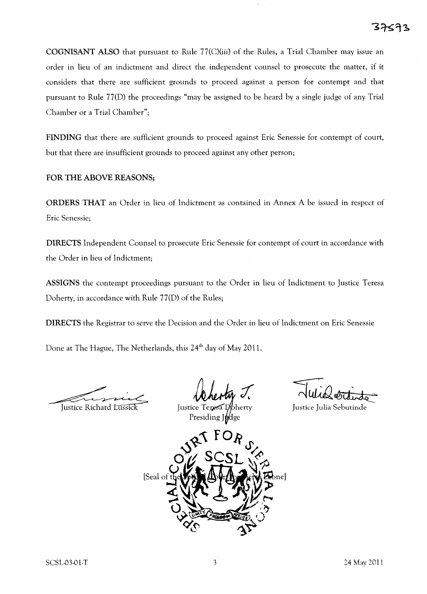COGNISANT ALSO that pursuant to Rule 77(C)(iii) of the Rules, a Trial Chamber may issue an order in lieu of an indictment and direct the independent counsel to prosecute the matter, if it considers that there are sufficient grounds to proceed against a person for contempt and that pursuant to Rule 77(D) the proceedings "may be assigned to be heard by asingle judge of any Trial Chamber or a Trial Chamber";

FINDING that there are sufficient grounds to proceed against Eric Senessie for contempt of court, but that there are insufficient grounds to proceed against any other person;

## FOR THE ABOVE REASONS;

ORDERS THAT an Order in lieu of Indictment as contained in Annex A be issued in respect of Eric Senessie;

DIRECTS Independent Counsel to prosecute Eric Senessie for contempt of court in accordance with the Order in lieu of Indictment;

ASSIGNS the contempt proceedings pursuant to the Order in lieu of Indictment to Justice Teresa Doherty, in accordance with Rule 77(D) of the Rules;

DIRECTS the Registrar to serve the Decision and the Order in lieu of Indictment on Eric Senessie

Done at The Hague, The Netherlands, this 24<sup>th</sup> day of May 2011.

Justice Richard Lussick

Justice Teresa Presiding If<sub>f</sub>dge

*-er::*  $\overline{\sim}$  wide ordinato-

Justice Julia Sebutinde

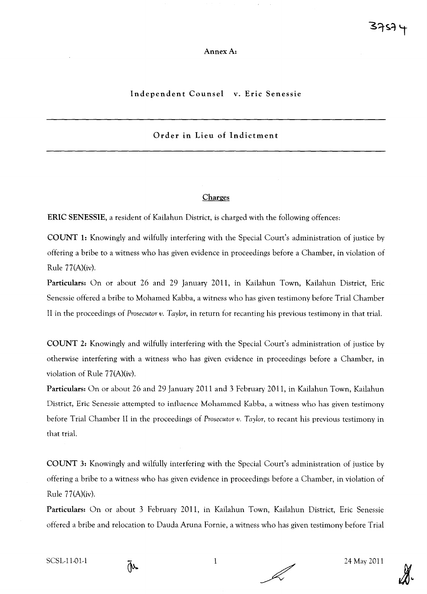## AnnexA:

## Independent Counsel v. Eric Senessie

# Order in Lieu of Indictment

## **Charges**

ERIC SENESSIE, a resident of Kailahun District, is charged with the following offences:

COUNT 1: Knowingly and wilfully interfering with the Special Court's administration of justice by offering a bribe to a witness who has given evidence in proceedings before a Chamber, in violation of Rule 77(A)(iv).

Particulars: On or about 26 and 29 January 2011, in Kailahun Town, Kailahun District, Eric Senessie offered a bribe to Mohamed Kabba, a witness who has given testimony before Trial Chamber II in the proceedings of *Prosecutor v. Taylor,* in return for recanting his previous testimony in that triaL

COUNT 2: Knowingly and wilfully interfering with the Special Court's administration of justice by otherwise interfering with a witness who has given evidence in proceedings before a Chamber, in violation of Rule 77(A)(iv).

Particulars: On or about 26 and 29 January 2011 and 3 February 2011, in Kailahun Town, Kailahun District, Eric Senessie attempted to influence Mohammed Kabba, a witness who has given testimony before Trial Chamber II in the proceedings of *Prosecutor v. Taylor,* to recant his previous testimony in that triaL

COUNT 3: Knowingly and wilfully interfering with the Special Court's administration of justice by offering a bribe to a witness who has given evidence in proceedings before a Chamber, in violation of Rule 77(A)(iv).

Particulars: On or about 3 February 2011, in Kailahun Town, Kailahun District, Eric Senessie offered a bribe and relocation to Dauda Aruna Fornie, a witness who has given testimony before Trial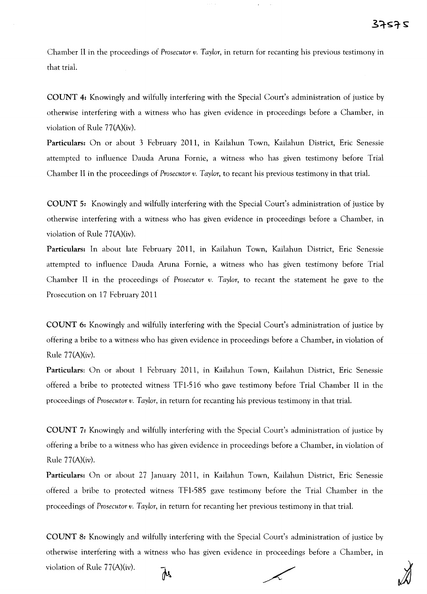Chamber II in the proceedings of *Prosecutor v. Taylor,* in return for recanting his previous testimony in that trial.

COUNT 4: Knowingly and wilfully interfering with the Special Court's administration of justice by otherwise interfering with a witness who has given evidence in proceedings before a Chamber, in violation of Rule 77(A)(iv).

Particulars: On or about 3 February 2011, in Kailahun Town, Kailahun District, Eric Senessie attempted to influence Dauda Aruna Fornie, a witness who has given testimony before Trial Chamber II in the proceedings of *Prosecutor v. Taylor,* to recant his previous testimony in that trial.

COUNT 5: Knowingly and wilfully interfering with the Special Court's administration of justice by otherwise interfering with a witness who has given evidence in proceedings before a Chamber, in violation of Rule 77(A)(iv).

Particulars: In about late February 2011, in Kailahun Town, Kailahun District, Eric Senessie attempted to influence Dauda Aruna Fornie, a witness who has given testimony before Trial Chamber II in the proceedings of *Prosecutor v. Taylor,* to recant the statement he gave to the Prosecution on 17 February 2011

COUNT 6: Knowingly and wilfully interfering with the Special Court's administration of justice by offering a bribe to a witness who has given evidence in proceedings before a Chamber, in violation of Rule 77(A)(iv).

Particulars: On or about 1 February 2011, in Kailahun Town, Kailahun District, Eric Senessie offered a bribe to protected witness TFl-516 who gave testimony before Trial Chamber II in the proceedings of *Prosecutor v. Taylor,* in return for recanting his previous testimony in that trial.

COUNT 7: Knowingly and wilfully interfering with the Special Court's administration of justice by offering a bribe to a witness who has given evidence in proceedings before a Chamber, in violation of Rule 77(A)(iv).

Particulars: On or about 27 January 2011, in Kailahun Town, Kailahun District, Eric Senessie offered a bribe to protected witness TFl-585 gave testimony before the Trial Chamber in the proceedings of *Prosecutor v. Taylor,* in return for recanting her previous testimony in that trial.

COUNT 8: Knowingly and wilfully interfering with the Special Court's administration of justice by otherwise interfering with a witness who has given evidence in proceedings before a Chamber, in violation of Rule 77(A)(iv).